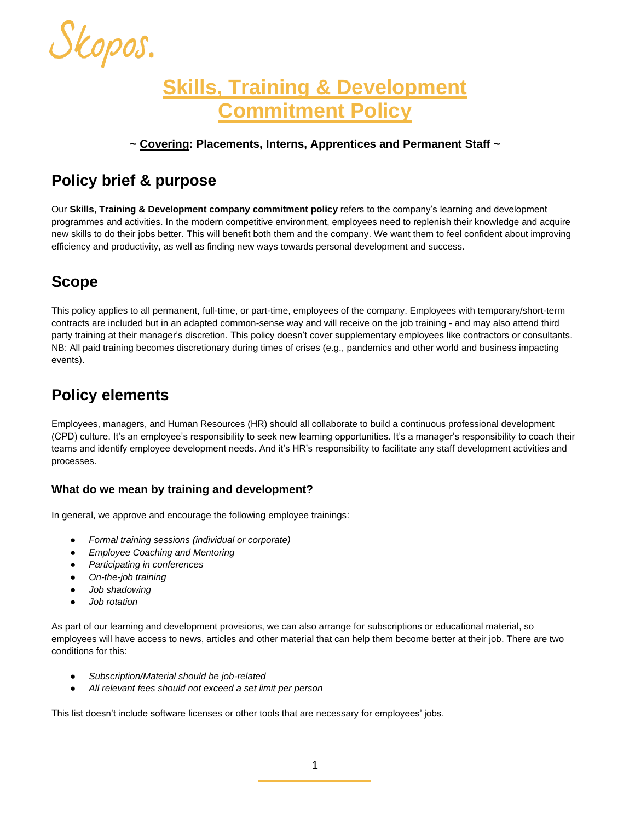

# **Skills, Training & Development Commitment Policy**

### **~ Covering: Placements, Interns, Apprentices and Permanent Staff ~**

### **Policy brief & purpose**

Our **Skills, Training & Development company commitment policy** refers to the company's learning and development programmes and activities. In the modern competitive environment, employees need to replenish their knowledge and acquire new skills to do their jobs better. This will benefit both them and the company. We want them to feel confident about improving efficiency and productivity, as well as finding new ways towards personal development and success.

## **Scope**

This policy applies to all permanent, full-time, or part-time, employees of the company. Employees with temporary/short-term contracts are included but in an adapted common-sense way and will receive on the job training - and may also attend third party training at their manager's discretion. This policy doesn't cover supplementary employees like contractors or consultants. NB: All paid training becomes discretionary during times of crises (e.g., pandemics and other world and business impacting events).

### **Policy elements**

Employees, managers, and Human Resources (HR) should all collaborate to build a continuous professional development (CPD) culture. It's an employee's responsibility to seek new learning opportunities. It's a manager's responsibility to coach their teams and identify employee development needs. And it's HR's responsibility to facilitate any staff development activities and processes.

### **What do we mean by training and development?**

In general, we approve and encourage the followin[g](https://resources.workable.com/tutorial/employee-training-program) employee trainings:

- *Formal training sessions (individual or corporate)*
- *Employee Coaching and Mentoring*
- *Participating in conferences*
- *On-the-job training*
- *Job shadowing*
- *Job rotation*

As part of our learning and development provisions, we can also arrange for subscriptions or educational material, so employees will have access to news, articles and other material that can help them become better at their job. There are two conditions for this:

- *Subscription/Material should be job-related*
- *All relevant fees should not exceed a set limit per person*

This list doesn't include software licenses or other tools that are necessary for employees' jobs.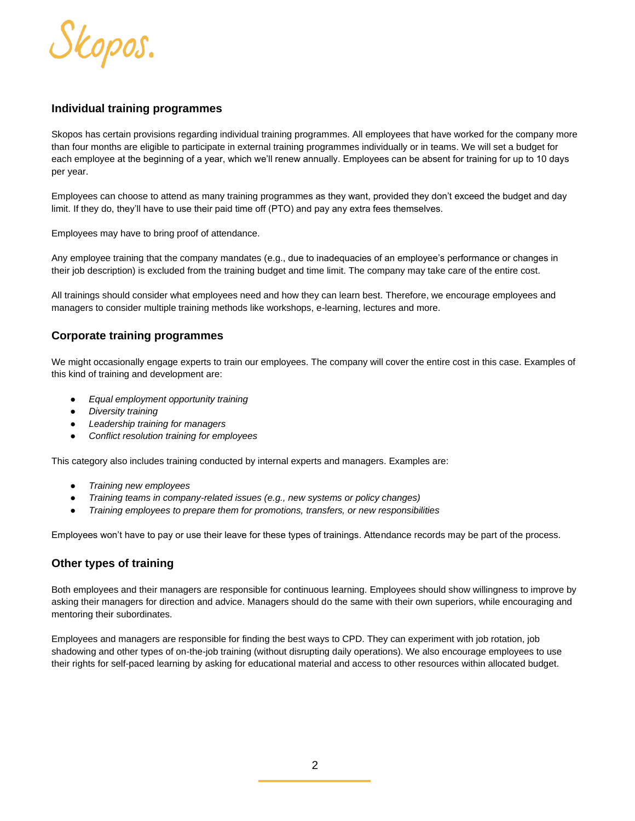

#### **Individual training programmes**

Skopos has certain provisions regarding individual training programmes. All employees that have worked for the company more than four months are eligible to participate in external training programmes individually or in teams. We will set a budget for each employee at the beginning of a year, which we'll renew annually. Employees can be absent for training for up to 10 days per year.

Employees can choose to attend as many training programmes as they want, provided they don't exceed the budget and day limit. If they do, they'll have to use their paid time off (PTO) and pay any extra fees themselves.

Employees may have to bring proof of attendance.

Any employee training that the company mandates (e.g., due to inadequacies of an employee's performance or changes in their job description) is excluded from the training budget and time limit. The company may take care of the entire cost.

All trainings should consider what employees need and how they can learn best. Therefore, we encourage employees and managers to consider multiple training methods like workshops, e-learning, lectures and more.

#### **Corporate training programmes**

We might occasionally engage experts to train our employees. The company will cover the entire cost in this case. Examples of this kind of training and development are:

- *Equal employment opportunity training*
- *Diversity training*
- *Leadership training for managers*
- *Conflict resolution training for employees*

This category also includes training conducted by internal experts and managers. Examples are:

- *Training new employees*
- *Training teams in company-related issues (e.g., new systems or policy changes)*
- *Training employees to prepare them for promotions, transfers, or new responsibilities*

Employees won't have to pay or use their leave for these types of trainings. Attendance records may be part of the process.

#### **Other types of training**

Both employees and their managers are responsible for continuous learning. Employees should show willingness to improve by asking their managers for direction and advice. Managers should do the same with their own superiors, while encouraging and mentoring their subordinates.

Employees and managers are responsible for finding the best ways to CPD. They can experiment with job rotation, job shadowing and other types of on-the-job training (without disrupting daily operations). We also encourage employees to use their rights for self-paced learning by asking for educational material and access to other resources within allocated budget.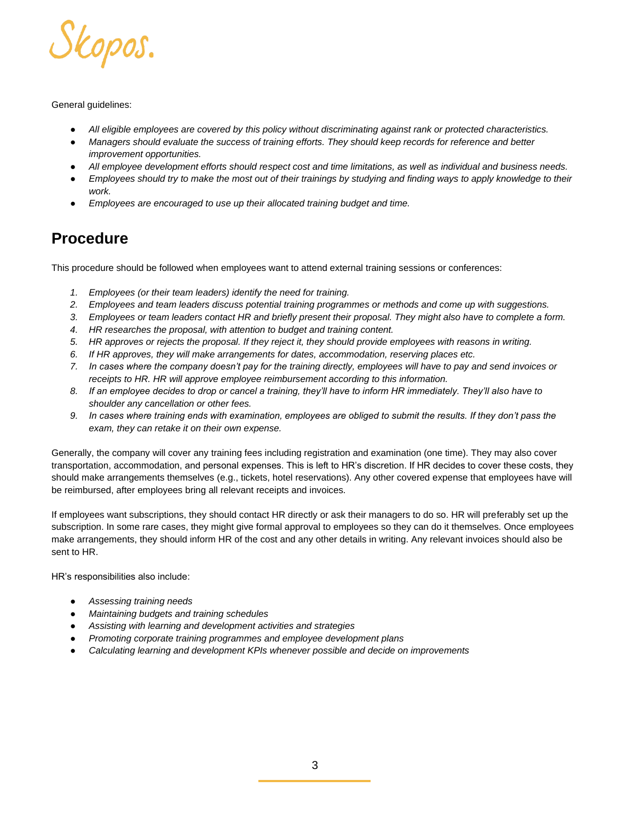

#### General guidelines:

- *All eligible employees are covered by this policy without discriminating against rank or protected characteristics.*
- Managers should evaluate the success of training efforts. They should keep records for reference and better *improvement opportunities.*
- All employee development efforts should respect cost and time limitations, as well as individual and business needs.
- Employees should try to make the most out of their trainings by studying and finding ways to apply knowledge to their *work.*
- Employees are encouraged to use up their allocated training budget and time.

# **Procedure**

This procedure should be followed when employees want to attend external training sessions or conferences:

- *1. Employees (or their team leaders) identify the need for training.*
- *2. Employees and team leaders discuss potential training programmes or methods and come up with suggestions.*
- *3. Employees or team leaders contact HR and briefly present their proposal. They might also have to complete a form.*
- *4. HR researches the proposal, with attention to budget and training content.*
- *5. HR approves or rejects the proposal. If they reject it, they should provide employees with reasons in writing.*
- *6. If HR approves, they will make arrangements for dates, accommodation, reserving places etc.*
- *7. In cases where the company doesn't pay for the training directly, employees will have to pay and send invoices or receipts to HR. HR will approve employee reimbursement according to this information.*
- *8. If an employee decides to drop or cancel a training, they'll have to inform HR immediately. They'll also have to shoulder any cancellation or other fees.*
- *9. In cases where training ends with examination, employees are obliged to submit the results. If they don't pass the exam, they can retake it on their own expense.*

Generally, the company will cover any training fees including registration and examination (one time). They may also cover transportation, accommodation, and personal expenses. This is left to HR's discretion. If HR decides to cover these costs, they should make arrangements themselves (e.g., tickets, hotel reservations). Any other covered expense that employees have will be reimbursed, after employees bring all relevant receipts and invoices.

If employees want subscriptions, they should contact HR directly or ask their managers to do so. HR will preferably set up the subscription. In some rare cases, they might give formal approval to employees so they can do it themselves. Once employees make arrangements, they should inform HR of the cost and any other details in writing. Any relevant invoices should also be sent to HR.

HR's responsibilities also include:

- *Assessing training needs*
- *Maintaining budgets and training schedules*
- *Assisting with learning and development activities and strategies*
- *Promoting corporate training programmes and employee development plans*
- *Calculating learning and development KPIs whenever possible and decide on improvements*